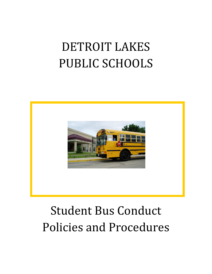# DETROIT LAKES PUBLIC SCHOOLS



# Student Bus Conduct Policies and Procedures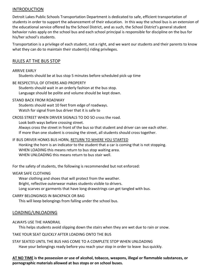## INTRODUCTION

Detroit Lakes Public Schools Transportation Department is dedicated to safe, efficient transportation of students in order to support the advancement of their education. In this way the school bus is an extension of the educational service offered by the School District, and as such, the School District's general student behavior rules apply on the school bus and each school principal is responsible for discipline on the bus for his/her school's students.

Transportation is a privilege of each student, not a right, and we want our students and their parents to know what they can do to maintain their student(s) riding privileges.

## RULES AT THE BUS STOP

#### ARRIVE EARLY

Students should be at bus stop 5 minutes before scheduled pick-up time

BE RESPECTFUL OF OTHERS AND PROPERTY

Students should wait in an orderly fashion at the bus stop. Language should be polite and volume should be kept down.

#### STAND BACK FROM ROADWAY

Students should wait 10 feet from edge of roadways. Watch for signal from bus driver that it is safe to

#### CROSS STREET WHEN DRIVER SIGNALS TO DO SO cross the road.

Look both ways before crossing street.

Always cross the street in front of the bus so that student and driver can see each other. If more than one student is crossing the street, all students should cross together.

## IF BUS DRIVER HONKS BUS HORN, RETURN TO WHERE YOU STARTED

Honking the horn is an indicator to the student that a car is coming that is not stopping. WHEN LOADING this means return to bus stop waiting area. WHEN UNLOADING this means return to bus stair well.

For the safety of students, the following is recommended but not enforced:

#### WEAR SAFE CLOTHING

Wear clothing and shoes that will protect from the weather.

Bright, reflective outerwear makes students visible to drivers.

Long scarves or garments that have long drawstrings can get tangled with bus.

#### CARRY BELONGINGS IN BACKPACK OR BAG

This will keep belongings from falling under the school bus.

## LOADING/UNLOADING

#### ALWAYS USE THE HANDRAIL

This helps students avoid slipping down the stairs when they are wet due to rain or snow.

#### TAKE YOUR SEAT QUICKLY AFTER LOADING ONTO THE BUS

STAY SEATED UNTIL THE BUS HAS COME TO A COMPLETE STOP WHEN UNLOADING Have your belongings ready before you reach your stop in order to leave bus quickly.

#### **AT NO TIME is the possession or use of alcohol, tobacco, weapons, illegal or flammable substances, or pornographic materials allowed at bus stops or on school buses.**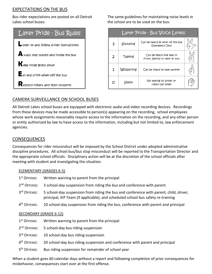# EXPECTATIONS ON THE BUS

Bus rider expectations are posted on all Detroit Lakes school buses:

| Laker Pride - Bus Rules                               |  |  |  |
|-------------------------------------------------------|--|--|--|
| sten to and follow driver instructions                |  |  |  |
| $\blacktriangle$ lways stay seated and inside the bus |  |  |  |
| Reep noise levels down                                |  |  |  |
| $\mathsf{E}_{\mathsf{at}}$ and drink when off the bus |  |  |  |
| $\mathbf R$ espect others and their property          |  |  |  |

The same guidelines for maintaining noise levels in the school are to be used on the bus:

| Laker Pride - Bus Voice Levels |                   |                                                          |  |  |
|--------------------------------|-------------------|----------------------------------------------------------|--|--|
| 3                              | Shouting          | Can be heard by most of the bus<br><b>Emergency Only</b> |  |  |
| $\mathbf{2}$                   | Talking           | Can be heard one seat in<br>front, behind or next to you |  |  |
| 1                              | <b>Whispering</b> | Can be heard by seat partner                             |  |  |
| റ                              | Silent            | No talking so driver or<br>riders Can listen             |  |  |

# CAMERA SURVEILLANCE ON SCHOOL BUSES

All Detroit Lakes school buses are equipped with electronic audio and video recording devices. Recordings from these devices may be made accessible to person(s) appearing on the recording, school employees whose work assignments reasonably require access to the information on the recording, and any other person or entity authorized by law to have access to the information, including but not limited to, law enforcement agencies.

# **CONSEQUENCES**

Consequences for rider misconduct will be imposed by the School District under adopted administrative discipline procedures. All school bus/bus stop misconduct will be reported to the Transportation Director and the appropriate school officials. Disciplinary action will be at the discretion of the school officials after meeting with student and investigating the situation.

#### ELEMENTARY (GRADES K-5)

1<sup>st</sup> Offense: Written warning to parent from the principal 2<sup>nd</sup> OFFFNSF: 3 school-day suspension from riding the bus and conference with parent 3rd OFFENSE: 5 school-day suspension from riding the bus and conference with parent, child, driver, principal, IEP Team (if applicable), and scheduled school bus safety re-training 4<sup>th</sup> OFFENSE: 10 school-day suspension from riding the bus, conference with parent and principal

#### SECONDARY (GRADE 6-12)

- 1<sup>st</sup> OFFENSE: Written warning to parent from the principal
- 2<sup>nd</sup> OFFENSE: 5 school-day bus riding suspension
- 3rd OFFENSE: 10 school-day bus riding suspension
- 4<sup>th</sup> OFFFNSE: 20 school-day bus riding suspension and conference with parent and principal
- 5<sup>th</sup> OFFENSE: Bus riding suspension for remainder of school year

When a student goes 60 calendar days without a report and following completion of prior consequences for misbehavior, consequences start over at the first offense.